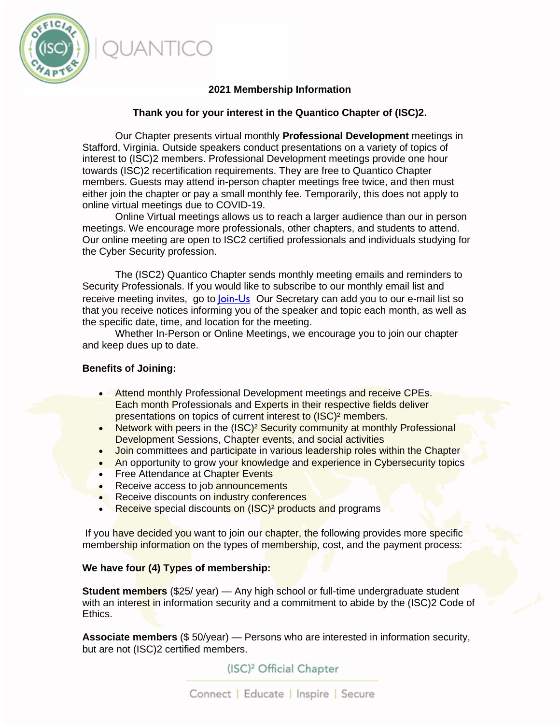# **2021 Membership Information**

### **Thank you for your interest in the Quantico Chapter of (ISC)2.**

Our Chapter presents virtual monthly **Professional Development** meetings in Stafford, Virginia. Outside speakers conduct presentations on a variety of topics of interest to (ISC)2 members. Professional Development meetings provide one hour towards (ISC)2 recertification requirements. They are free to Quantico Chapter members. Guests may attend in-person chapter meetings free twice, and then must either join the chapter or pay a small monthly fee. Temporarily, this does not apply to online virtual meetings due to COVID-19.

Online Virtual meetings allows us to reach a larger audience than our in person meetings. We encourage more professionals, other chapters, and students to attend. Our online meeting are open to ISC2 certified professionals and individuals studying for the Cyber Security profession.

The (ISC2) Quantico Chapter sends monthly meeting emails and reminders to Security Professionals. If you would like to subscribe to our monthly email list and receive meeting invites, go to [Join-Us](https://isc2quanticochapter.org/join-us)Our Secretary can add you to our e-mail list so that you receive notices informing you of the speaker and topic each month, as well as the specific date, time, and location for the meeting.

Whether In-Person or Online Meetings, we encourage you to join our chapter and keep dues up to date.

#### **Benefits of Joining:**

- Attend monthly Professional Development meetings and receive CPEs. Each month Professionals and Experts in their respective fields deliver presentations on topics of current interest to (ISC)² members.
- Network with peers in the (ISC)<sup>2</sup> Security community at monthly Professional Development Sessions, Chapter events, and social activities
- Join committees and participate in various leadership roles within the Chapter
- An opportunity to grow your knowledge and experience in Cybersecurity topics
- Free Attendance at Chapter Events
- Receive access to job announcements
- Receive discounts on industry conferences
- Receive special discounts on (ISC)<sup>2</sup> products and programs

If you have decided you want to join our chapter, the following provides more specific membership information on the types of membership, cost, and the payment process:

#### **We have four (4) Types of membership:**

**Student members** (\$25/ year) — Any high school or full-time undergraduate student with an interest in information security and a commitment to abide by the (ISC)2 Code of Ethics.

**Associate members** (\$ 50/year) — Persons who are interested in information security, but are not (ISC)2 certified members.

(ISC)<sup>2</sup> Official Chapter